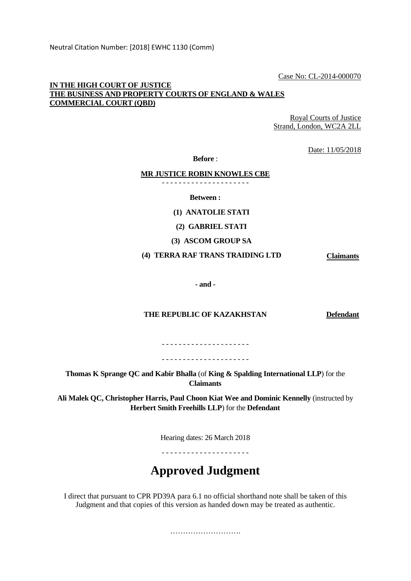Neutral Citation Number: [2018] EWHC 1130 (Comm)

Case No: CL-2014-000070

## **IN THE HIGH COURT OF JUSTICE THE BUSINESS AND PROPERTY COURTS OF ENGLAND & WALES COMMERCIAL COURT (QBD)**

Royal Courts of Justice Strand, London, WC2A 2LL

Date: 11/05/2018

**Before** :

**MR JUSTICE ROBIN KNOWLES CBE** - - - - - - - - - - - - - - - - - - - - -

**Between :**

- **(1) ANATOLIE STATI**
- **(2) GABRIEL STATI**

**(3) ASCOM GROUP SA**

**(4) TERRA RAF TRANS TRAIDING LTD Claimants**

**- and -**

#### **THE REPUBLIC OF KAZAKHSTAN Defendant**

- - - - - - - - - - - - - - - - - - - - - - - - - - - - - - - - - - - - - - - - - -

**Thomas K Sprange QC and Kabir Bhalla** (of **King & Spalding International LLP**) for the **Claimants**

**Ali Malek QC, Christopher Harris, Paul Choon Kiat Wee and Dominic Kennelly** (instructed by **Herbert Smith Freehills LLP**) for the **Defendant**

Hearing dates: 26 March 2018

- - - - - - - - - - - - - - - - - - - - -

# **Approved Judgment**

I direct that pursuant to CPR PD39A para 6.1 no official shorthand note shall be taken of this Judgment and that copies of this version as handed down may be treated as authentic.

……………………….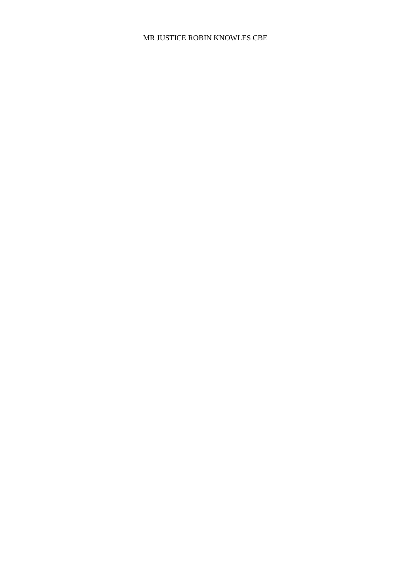# MR JUSTICE ROBIN KNOWLES CBE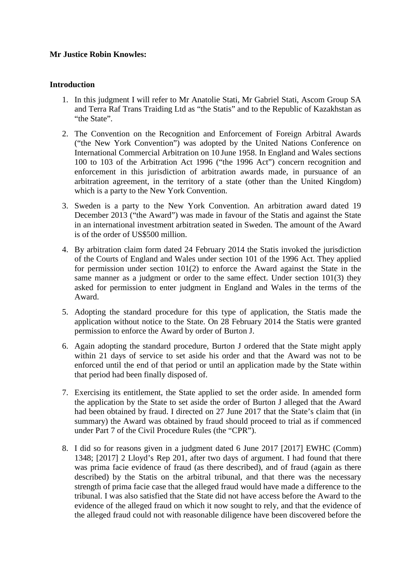# **Mr Justice Robin Knowles:**

## **Introduction**

- 1. In this judgment I will refer to Mr Anatolie Stati, Mr Gabriel Stati, Ascom Group SA and Terra Raf Trans Traiding Ltd as "the Statis" and to the Republic of Kazakhstan as "the State".
- 2. The Convention on the Recognition and Enforcement of Foreign Arbitral Awards ("the New York Convention") was adopted by the United Nations Conference on International Commercial Arbitration on 10 June 1958. In England and Wales sections 100 to 103 of the Arbitration Act 1996 ("the 1996 Act") concern recognition and enforcement in this jurisdiction of arbitration awards made, in pursuance of an arbitration agreement, in the territory of a state (other than the United Kingdom) which is a party to the New York Convention.
- 3. Sweden is a party to the New York Convention. An arbitration award dated 19 December 2013 ("the Award") was made in favour of the Statis and against the State in an international investment arbitration seated in Sweden. The amount of the Award is of the order of US\$500 million.
- 4. By arbitration claim form dated 24 February 2014 the Statis invoked the jurisdiction of the Courts of England and Wales under section 101 of the 1996 Act. They applied for permission under section 101(2) to enforce the Award against the State in the same manner as a judgment or order to the same effect. Under section 101(3) they asked for permission to enter judgment in England and Wales in the terms of the Award.
- 5. Adopting the standard procedure for this type of application, the Statis made the application without notice to the State. On 28 February 2014 the Statis were granted permission to enforce the Award by order of Burton J.
- 6. Again adopting the standard procedure, Burton J ordered that the State might apply within 21 days of service to set aside his order and that the Award was not to be enforced until the end of that period or until an application made by the State within that period had been finally disposed of.
- 7. Exercising its entitlement, the State applied to set the order aside. In amended form the application by the State to set aside the order of Burton J alleged that the Award had been obtained by fraud. I directed on 27 June 2017 that the State's claim that (in summary) the Award was obtained by fraud should proceed to trial as if commenced under Part 7 of the Civil Procedure Rules (the "CPR").
- 8. I did so for reasons given in a judgment dated 6 June 2017 [2017] EWHC (Comm) 1348; [2017] 2 Lloyd's Rep 201, after two days of argument. I had found that there was prima facie evidence of fraud (as there described), and of fraud (again as there described) by the Statis on the arbitral tribunal, and that there was the necessary strength of prima facie case that the alleged fraud would have made a difference to the tribunal. I was also satisfied that the State did not have access before the Award to the evidence of the alleged fraud on which it now sought to rely, and that the evidence of the alleged fraud could not with reasonable diligence have been discovered before the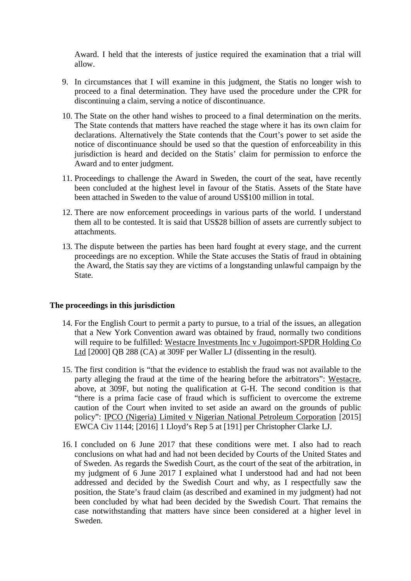Award. I held that the interests of justice required the examination that a trial will allow.

- 9. In circumstances that I will examine in this judgment, the Statis no longer wish to proceed to a final determination. They have used the procedure under the CPR for discontinuing a claim, serving a notice of discontinuance.
- 10. The State on the other hand wishes to proceed to a final determination on the merits. The State contends that matters have reached the stage where it has its own claim for declarations. Alternatively the State contends that the Court's power to set aside the notice of discontinuance should be used so that the question of enforceability in this jurisdiction is heard and decided on the Statis' claim for permission to enforce the Award and to enter judgment.
- 11. Proceedings to challenge the Award in Sweden, the court of the seat, have recently been concluded at the highest level in favour of the Statis. Assets of the State have been attached in Sweden to the value of around US\$100 million in total.
- 12. There are now enforcement proceedings in various parts of the world. I understand them all to be contested. It is said that US\$28 billion of assets are currently subject to attachments.
- 13. The dispute between the parties has been hard fought at every stage, and the current proceedings are no exception. While the State accuses the Statis of fraud in obtaining the Award, the Statis say they are victims of a longstanding unlawful campaign by the State.

## **The proceedings in this jurisdiction**

- 14. For the English Court to permit a party to pursue, to a trial of the issues, an allegation that a New York Convention award was obtained by fraud, normally two conditions will require to be fulfilled: Westacre Investments Inc v Jugoimport-SPDR Holding Co Ltd [2000] QB 288 (CA) at 309F per Waller LJ (dissenting in the result).
- 15. The first condition is "that the evidence to establish the fraud was not available to the party alleging the fraud at the time of the hearing before the arbitrators": Westacre, above, at 309F, but noting the qualification at G-H. The second condition is that "there is a prima facie case of fraud which is sufficient to overcome the extreme caution of the Court when invited to set aside an award on the grounds of public policy": IPCO (Nigeria) Limited v Nigerian National Petroleum Corporation [2015] EWCA Civ 1144; [2016] 1 Lloyd's Rep 5 at [191] per Christopher Clarke LJ.
- 16. I concluded on 6 June 2017 that these conditions were met. I also had to reach conclusions on what had and had not been decided by Courts of the United States and of Sweden. As regards the Swedish Court, as the court of the seat of the arbitration, in my judgment of 6 June 2017 I explained what I understood had and had not been addressed and decided by the Swedish Court and why, as I respectfully saw the position, the State's fraud claim (as described and examined in my judgment) had not been concluded by what had been decided by the Swedish Court. That remains the case notwithstanding that matters have since been considered at a higher level in Sweden.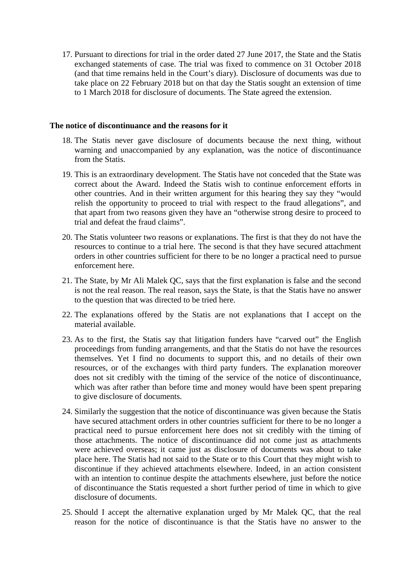17. Pursuant to directions for trial in the order dated 27 June 2017, the State and the Statis exchanged statements of case. The trial was fixed to commence on 31 October 2018 (and that time remains held in the Court's diary). Disclosure of documents was due to take place on 22 February 2018 but on that day the Statis sought an extension of time to 1 March 2018 for disclosure of documents. The State agreed the extension.

#### **The notice of discontinuance and the reasons for it**

- 18. The Statis never gave disclosure of documents because the next thing, without warning and unaccompanied by any explanation, was the notice of discontinuance from the Statis.
- 19. This is an extraordinary development. The Statis have not conceded that the State was correct about the Award. Indeed the Statis wish to continue enforcement efforts in other countries. And in their written argument for this hearing they say they "would relish the opportunity to proceed to trial with respect to the fraud allegations", and that apart from two reasons given they have an "otherwise strong desire to proceed to trial and defeat the fraud claims".
- 20. The Statis volunteer two reasons or explanations. The first is that they do not have the resources to continue to a trial here. The second is that they have secured attachment orders in other countries sufficient for there to be no longer a practical need to pursue enforcement here.
- 21. The State, by Mr Ali Malek QC, says that the first explanation is false and the second is not the real reason. The real reason, says the State, is that the Statis have no answer to the question that was directed to be tried here.
- 22. The explanations offered by the Statis are not explanations that I accept on the material available.
- 23. As to the first, the Statis say that litigation funders have "carved out" the English proceedings from funding arrangements, and that the Statis do not have the resources themselves. Yet I find no documents to support this, and no details of their own resources, or of the exchanges with third party funders. The explanation moreover does not sit credibly with the timing of the service of the notice of discontinuance, which was after rather than before time and money would have been spent preparing to give disclosure of documents.
- 24. Similarly the suggestion that the notice of discontinuance was given because the Statis have secured attachment orders in other countries sufficient for there to be no longer a practical need to pursue enforcement here does not sit credibly with the timing of those attachments. The notice of discontinuance did not come just as attachments were achieved overseas; it came just as disclosure of documents was about to take place here. The Statis had not said to the State or to this Court that they might wish to discontinue if they achieved attachments elsewhere. Indeed, in an action consistent with an intention to continue despite the attachments elsewhere, just before the notice of discontinuance the Statis requested a short further period of time in which to give disclosure of documents.
- 25. Should I accept the alternative explanation urged by Mr Malek QC, that the real reason for the notice of discontinuance is that the Statis have no answer to the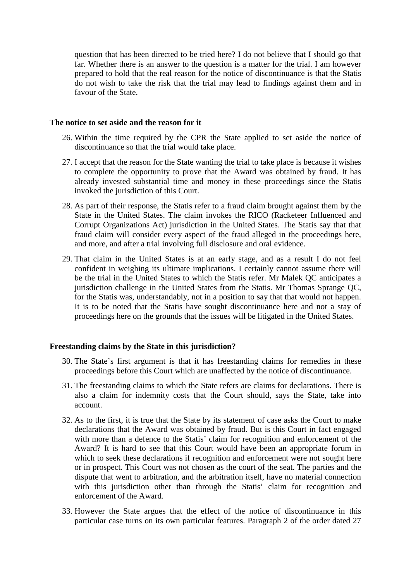question that has been directed to be tried here? I do not believe that I should go that far. Whether there is an answer to the question is a matter for the trial. I am however prepared to hold that the real reason for the notice of discontinuance is that the Statis do not wish to take the risk that the trial may lead to findings against them and in favour of the State.

#### **The notice to set aside and the reason for it**

- 26. Within the time required by the CPR the State applied to set aside the notice of discontinuance so that the trial would take place.
- 27. I accept that the reason for the State wanting the trial to take place is because it wishes to complete the opportunity to prove that the Award was obtained by fraud. It has already invested substantial time and money in these proceedings since the Statis invoked the jurisdiction of this Court.
- 28. As part of their response, the Statis refer to a fraud claim brought against them by the State in the United States. The claim invokes the RICO (Racketeer Influenced and Corrupt Organizations Act) jurisdiction in the United States. The Statis say that that fraud claim will consider every aspect of the fraud alleged in the proceedings here, and more, and after a trial involving full disclosure and oral evidence.
- 29. That claim in the United States is at an early stage, and as a result I do not feel confident in weighing its ultimate implications. I certainly cannot assume there will be the trial in the United States to which the Statis refer. Mr Malek QC anticipates a jurisdiction challenge in the United States from the Statis. Mr Thomas Sprange QC, for the Statis was, understandably, not in a position to say that that would not happen. It is to be noted that the Statis have sought discontinuance here and not a stay of proceedings here on the grounds that the issues will be litigated in the United States.

## **Freestanding claims by the State in this jurisdiction?**

- 30. The State's first argument is that it has freestanding claims for remedies in these proceedings before this Court which are unaffected by the notice of discontinuance.
- 31. The freestanding claims to which the State refers are claims for declarations. There is also a claim for indemnity costs that the Court should, says the State, take into account.
- 32. As to the first, it is true that the State by its statement of case asks the Court to make declarations that the Award was obtained by fraud. But is this Court in fact engaged with more than a defence to the Statis' claim for recognition and enforcement of the Award? It is hard to see that this Court would have been an appropriate forum in which to seek these declarations if recognition and enforcement were not sought here or in prospect. This Court was not chosen as the court of the seat. The parties and the dispute that went to arbitration, and the arbitration itself, have no material connection with this jurisdiction other than through the Statis' claim for recognition and enforcement of the Award.
- 33. However the State argues that the effect of the notice of discontinuance in this particular case turns on its own particular features. Paragraph 2 of the order dated 27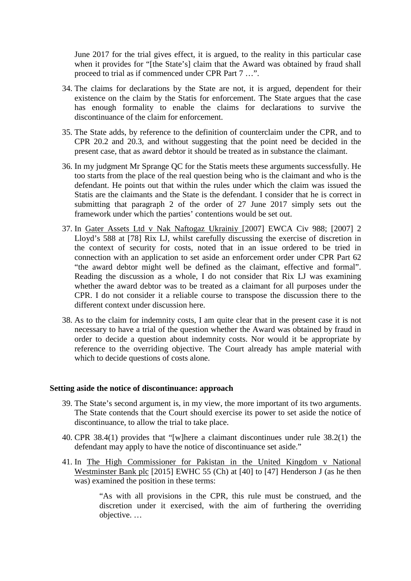June 2017 for the trial gives effect, it is argued, to the reality in this particular case when it provides for "[the State's] claim that the Award was obtained by fraud shall proceed to trial as if commenced under CPR Part 7 …".

- 34. The claims for declarations by the State are not, it is argued, dependent for their existence on the claim by the Statis for enforcement. The State argues that the case has enough formality to enable the claims for declarations to survive the discontinuance of the claim for enforcement.
- 35. The State adds, by reference to the definition of counterclaim under the CPR, and to CPR 20.2 and 20.3, and without suggesting that the point need be decided in the present case, that as award debtor it should be treated as in substance the claimant.
- 36. In my judgment Mr Sprange QC for the Statis meets these arguments successfully. He too starts from the place of the real question being who is the claimant and who is the defendant. He points out that within the rules under which the claim was issued the Statis are the claimants and the State is the defendant. I consider that he is correct in submitting that paragraph 2 of the order of 27 June 2017 simply sets out the framework under which the parties' contentions would be set out.
- 37. In Gater Assets Ltd v Nak Naftogaz Ukrainiy [2007] EWCA Civ 988; [2007] 2 Lloyd's 588 at [78] Rix LJ, whilst carefully discussing the exercise of discretion in the context of security for costs, noted that in an issue ordered to be tried in connection with an application to set aside an enforcement order under CPR Part 62 "the award debtor might well be defined as the claimant, effective and formal". Reading the discussion as a whole, I do not consider that Rix LJ was examining whether the award debtor was to be treated as a claimant for all purposes under the CPR. I do not consider it a reliable course to transpose the discussion there to the different context under discussion here.
- 38. As to the claim for indemnity costs, I am quite clear that in the present case it is not necessary to have a trial of the question whether the Award was obtained by fraud in order to decide a question about indemnity costs. Nor would it be appropriate by reference to the overriding objective. The Court already has ample material with which to decide questions of costs alone.

#### **Setting aside the notice of discontinuance: approach**

- 39. The State's second argument is, in my view, the more important of its two arguments. The State contends that the Court should exercise its power to set aside the notice of discontinuance, to allow the trial to take place.
- 40. CPR 38.4(1) provides that "[w]here a claimant discontinues under rule 38.2(1) the defendant may apply to have the notice of discontinuance set aside."
- 41. In The High Commissioner for Pakistan in the United Kingdom v National Westminster Bank plc [2015] EWHC 55 (Ch) at [40] to [47] Henderson J (as he then was) examined the position in these terms:

"As with all provisions in the CPR, this rule must be construed, and the discretion under it exercised, with the aim of furthering the overriding objective. …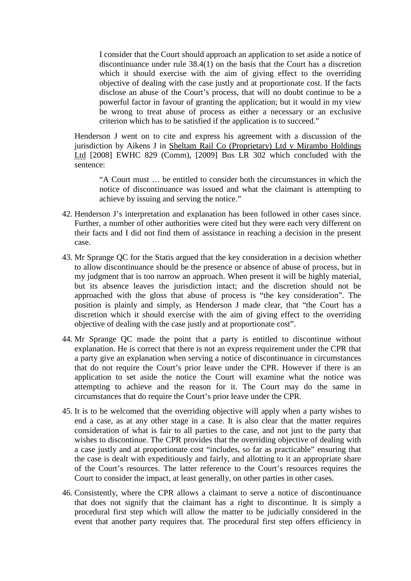I consider that the Court should approach an application to set aside a notice of discontinuance under rule 38.4(1) on the basis that the Court has a discretion which it should exercise with the aim of giving effect to the overriding objective of dealing with the case justly and at proportionate cost. If the facts disclose an abuse of the Court's process, that will no doubt continue to be a powerful factor in favour of granting the application; but it would in my view be wrong to treat abuse of process as either a necessary or an exclusive criterion which has to be satisfied if the application is to succeed."

Henderson J went on to cite and express his agreement with a discussion of the jurisdiction by Aikens J in Sheltam Rail Co (Proprietary) Ltd v Mirambo Holdings Ltd [2008] EWHC 829 (Comm), [2009] Bus LR 302 which concluded with the sentence:

"A Court must … be entitled to consider both the circumstances in which the notice of discontinuance was issued and what the claimant is attempting to achieve by issuing and serving the notice."

- 42. Henderson J's interpretation and explanation has been followed in other cases since. Further, a number of other authorities were cited but they were each very different on their facts and I did not find them of assistance in reaching a decision in the present case.
- 43. Mr Sprange QC for the Statis argued that the key consideration in a decision whether to allow discontinuance should be the presence or absence of abuse of process, but in my judgment that is too narrow an approach. When present it will be highly material, but its absence leaves the jurisdiction intact; and the discretion should not be approached with the gloss that abuse of process is "the key consideration". The position is plainly and simply, as Henderson J made clear, that "the Court has a discretion which it should exercise with the aim of giving effect to the overriding objective of dealing with the case justly and at proportionate cost".
- 44. Mr Sprange QC made the point that a party is entitled to discontinue without explanation. He is correct that there is not an express requirement under the CPR that a party give an explanation when serving a notice of discontinuance in circumstances that do not require the Court's prior leave under the CPR. However if there is an application to set aside the notice the Court will examine what the notice was attempting to achieve and the reason for it. The Court may do the same in circumstances that do require the Court's prior leave under the CPR.
- 45. It is to be welcomed that the overriding objective will apply when a party wishes to end a case, as at any other stage in a case. It is also clear that the matter requires consideration of what is fair to all parties to the case, and not just to the party that wishes to discontinue. The CPR provides that the overriding objective of dealing with a case justly and at proportionate cost "includes, so far as practicable" ensuring that the case is dealt with expeditiously and fairly, and allotting to it an appropriate share of the Court's resources. The latter reference to the Court's resources requires the Court to consider the impact, at least generally, on other parties in other cases.
- 46. Consistently, where the CPR allows a claimant to serve a notice of discontinuance that does not signify that the claimant has a right to discontinue. It is simply a procedural first step which will allow the matter to be judicially considered in the event that another party requires that. The procedural first step offers efficiency in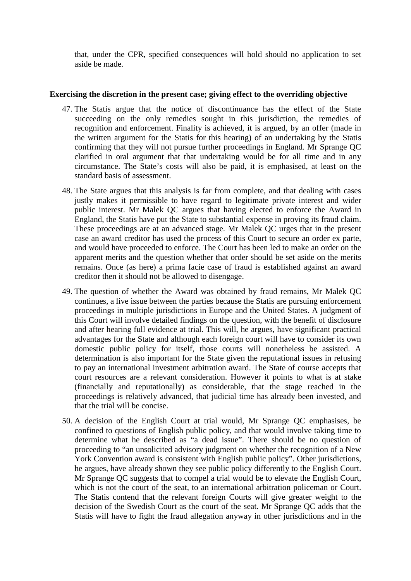that, under the CPR, specified consequences will hold should no application to set aside be made.

#### **Exercising the discretion in the present case; giving effect to the overriding objective**

- 47. The Statis argue that the notice of discontinuance has the effect of the State succeeding on the only remedies sought in this jurisdiction, the remedies of recognition and enforcement. Finality is achieved, it is argued, by an offer (made in the written argument for the Statis for this hearing) of an undertaking by the Statis confirming that they will not pursue further proceedings in England. Mr Sprange QC clarified in oral argument that that undertaking would be for all time and in any circumstance. The State's costs will also be paid, it is emphasised, at least on the standard basis of assessment.
- 48. The State argues that this analysis is far from complete, and that dealing with cases justly makes it permissible to have regard to legitimate private interest and wider public interest. Mr Malek QC argues that having elected to enforce the Award in England, the Statis have put the State to substantial expense in proving its fraud claim. These proceedings are at an advanced stage. Mr Malek QC urges that in the present case an award creditor has used the process of this Court to secure an order ex parte, and would have proceeded to enforce. The Court has been led to make an order on the apparent merits and the question whether that order should be set aside on the merits remains. Once (as here) a prima facie case of fraud is established against an award creditor then it should not be allowed to disengage.
- 49. The question of whether the Award was obtained by fraud remains, Mr Malek QC continues, a live issue between the parties because the Statis are pursuing enforcement proceedings in multiple jurisdictions in Europe and the United States. A judgment of this Court will involve detailed findings on the question, with the benefit of disclosure and after hearing full evidence at trial. This will, he argues, have significant practical advantages for the State and although each foreign court will have to consider its own domestic public policy for itself, those courts will nonetheless be assisted. A determination is also important for the State given the reputational issues in refusing to pay an international investment arbitration award. The State of course accepts that court resources are a relevant consideration. However it points to what is at stake (financially and reputationally) as considerable, that the stage reached in the proceedings is relatively advanced, that judicial time has already been invested, and that the trial will be concise.
- 50. A decision of the English Court at trial would, Mr Sprange QC emphasises, be confined to questions of English public policy, and that would involve taking time to determine what he described as "a dead issue". There should be no question of proceeding to "an unsolicited advisory judgment on whether the recognition of a New York Convention award is consistent with English public policy". Other jurisdictions, he argues, have already shown they see public policy differently to the English Court. Mr Sprange QC suggests that to compel a trial would be to elevate the English Court, which is not the court of the seat, to an international arbitration policeman or Court. The Statis contend that the relevant foreign Courts will give greater weight to the decision of the Swedish Court as the court of the seat. Mr Sprange QC adds that the Statis will have to fight the fraud allegation anyway in other jurisdictions and in the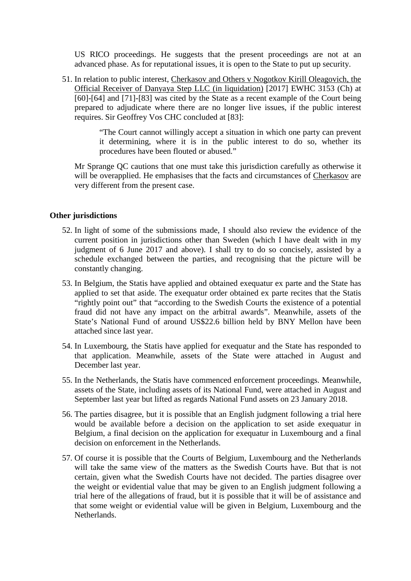US RICO proceedings. He suggests that the present proceedings are not at an advanced phase. As for reputational issues, it is open to the State to put up security.

51. In relation to public interest, Cherkasov and Others v Nogotkov Kirill Oleagovich, the Official Receiver of Danyaya Step LLC (in liquidation) [2017] EWHC 3153 (Ch) at [60]-[64] and [71]-[83] was cited by the State as a recent example of the Court being prepared to adjudicate where there are no longer live issues, if the public interest requires. Sir Geoffrey Vos CHC concluded at [83]:

> "The Court cannot willingly accept a situation in which one party can prevent it determining, where it is in the public interest to do so, whether its procedures have been flouted or abused."

Mr Sprange QC cautions that one must take this jurisdiction carefully as otherwise it will be overapplied. He emphasises that the facts and circumstances of Cherkasov are very different from the present case.

## **Other jurisdictions**

- 52. In light of some of the submissions made, I should also review the evidence of the current position in jurisdictions other than Sweden (which I have dealt with in my judgment of 6 June 2017 and above). I shall try to do so concisely, assisted by a schedule exchanged between the parties, and recognising that the picture will be constantly changing.
- 53. In Belgium, the Statis have applied and obtained exequatur ex parte and the State has applied to set that aside. The exequatur order obtained ex parte recites that the Statis "rightly point out" that "according to the Swedish Courts the existence of a potential fraud did not have any impact on the arbitral awards". Meanwhile, assets of the State's National Fund of around US\$22.6 billion held by BNY Mellon have been attached since last year.
- 54. In Luxembourg, the Statis have applied for exequatur and the State has responded to that application. Meanwhile, assets of the State were attached in August and December last year.
- 55. In the Netherlands, the Statis have commenced enforcement proceedings. Meanwhile, assets of the State, including assets of its National Fund, were attached in August and September last year but lifted as regards National Fund assets on 23 January 2018.
- 56. The parties disagree, but it is possible that an English judgment following a trial here would be available before a decision on the application to set aside exequatur in Belgium, a final decision on the application for exequatur in Luxembourg and a final decision on enforcement in the Netherlands.
- 57. Of course it is possible that the Courts of Belgium, Luxembourg and the Netherlands will take the same view of the matters as the Swedish Courts have. But that is not certain, given what the Swedish Courts have not decided. The parties disagree over the weight or evidential value that may be given to an English judgment following a trial here of the allegations of fraud, but it is possible that it will be of assistance and that some weight or evidential value will be given in Belgium, Luxembourg and the Netherlands.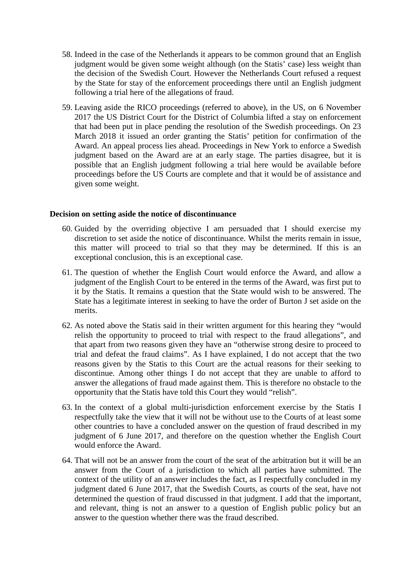- 58. Indeed in the case of the Netherlands it appears to be common ground that an English judgment would be given some weight although (on the Statis' case) less weight than the decision of the Swedish Court. However the Netherlands Court refused a request by the State for stay of the enforcement proceedings there until an English judgment following a trial here of the allegations of fraud.
- 59. Leaving aside the RICO proceedings (referred to above), in the US, on 6 November 2017 the US District Court for the District of Columbia lifted a stay on enforcement that had been put in place pending the resolution of the Swedish proceedings. On 23 March 2018 it issued an order granting the Statis' petition for confirmation of the Award. An appeal process lies ahead. Proceedings in New York to enforce a Swedish judgment based on the Award are at an early stage. The parties disagree, but it is possible that an English judgment following a trial here would be available before proceedings before the US Courts are complete and that it would be of assistance and given some weight.

#### **Decision on setting aside the notice of discontinuance**

- 60. Guided by the overriding objective I am persuaded that I should exercise my discretion to set aside the notice of discontinuance. Whilst the merits remain in issue, this matter will proceed to trial so that they may be determined. If this is an exceptional conclusion, this is an exceptional case.
- 61. The question of whether the English Court would enforce the Award, and allow a judgment of the English Court to be entered in the terms of the Award, was first put to it by the Statis. It remains a question that the State would wish to be answered. The State has a legitimate interest in seeking to have the order of Burton J set aside on the merits.
- 62. As noted above the Statis said in their written argument for this hearing they "would relish the opportunity to proceed to trial with respect to the fraud allegations", and that apart from two reasons given they have an "otherwise strong desire to proceed to trial and defeat the fraud claims". As I have explained, I do not accept that the two reasons given by the Statis to this Court are the actual reasons for their seeking to discontinue. Among other things I do not accept that they are unable to afford to answer the allegations of fraud made against them. This is therefore no obstacle to the opportunity that the Statis have told this Court they would "relish".
- 63. In the context of a global multi-jurisdiction enforcement exercise by the Statis I respectfully take the view that it will not be without use to the Courts of at least some other countries to have a concluded answer on the question of fraud described in my judgment of 6 June 2017, and therefore on the question whether the English Court would enforce the Award.
- 64. That will not be an answer from the court of the seat of the arbitration but it will be an answer from the Court of a jurisdiction to which all parties have submitted. The context of the utility of an answer includes the fact, as I respectfully concluded in my judgment dated 6 June 2017, that the Swedish Courts, as courts of the seat, have not determined the question of fraud discussed in that judgment. I add that the important, and relevant, thing is not an answer to a question of English public policy but an answer to the question whether there was the fraud described.